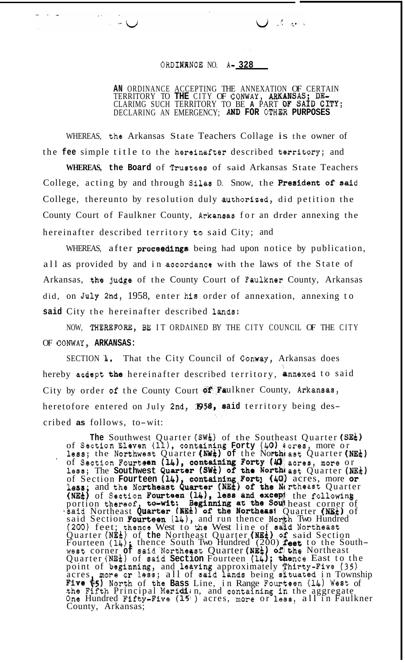## ORDINANCE NO. A-328

**AN** ORDINANCE ACCEPTING THE ANNEXATION OF CERTAIN TERRITORY TO **THE** CITY OF CONWAY, *AR*  CLARIMG SUCH TERRITORY TO BE **A** PART DECLARING AN EMERGENCY; **AND FOR** OTHER PURPOSES

 $\int$  of  $\mathbb{R}$ 

WHEREAS, the Arkansas State Teachers Collage is the owner of the **fee** simple title to the hereinafter described territory; and

 $\sim -1$ 

WHEREAS, the Board of Trustees of said Arkansas State Teachers College, acting by and through Silas D. Snow, the President of said College, thereunto by resolution duly authoriged, did petition the County Court of Faulkner County, Arkansas for an drder annexing the hereinafter described territory to said City; and

WHEREAS, after **proceedings** being had upon notice by publication, all as provided by and in accordance with the laws of the State of Arkansas, the judge of the County Court of Faulkner County, Arkansas did, on **July** 2nd, 1958, enter hi8 order of annexation, annexing to said City the hereinafter described lands:

NOW, THEREFORE, BE IT ORDAINED BY THE CITY COUNCIL OF THE CITY OF COWBY, **ARKANSAS:** 

SECTION **L.** That the City Council of Conway, Arkansas does hereby acdept the hereinafter described territory, annexed to said City by order of the County Court of Faulkner County, Arkansas, heretofore entered on July 2nd, 1958, said territory being described **as** follows, to-wit:

The Southwest Quarter (SW<sup> $_{\text{L}}$ </sup>) of the Southeast Quarter (SE<sup>1</sup>) of Section Eleven (11), containing **Forty** (40)  $\frac{1}{2}$  cres, more or less; the Northwest Quarter (NW<sup>#</sup>) of the North ast Quarter (NE<sup>#</sup>) less; The Southwest Quarter (SW<sup>t</sup>) of the North ast Quarter (NE<sup>t</sup>) of Section Fourteen (14), containing Fort; (40) acres, more or rtheast Quarter of Section **Fourteen**  less; and the Nor portion thereof, to-wit: Beginning at the Southeast corner of said Northeast Quarter (NEt) of the Northeast Quarter (NEt) of said Section **Fourteen** (14), and run thence North Two Hundred (200) feet; thence West to *the* West line of **salkd** Northeast Quarter (NE<sup>1</sup>) of the Northeast Quarter (NE<sup>1</sup>) of said Section<br>Fourteen (14); thence South Two Hundred (200) **feet** to the South-<br>west corner of said Northeast Quarter (NE<sup>1</sup>) of the Northeast nce East to the point of beginning, and leaving approximately Thirty-Five (35) acres, more or less; all of said lands being stuated in Township Five &!) North of the **Bass** Line, in Range Fouriteen **(14)** West of the Fifth Principal Meridian, and containing in the aggregate One Hundred Fifty-Five (15) acres, more or less, all in Faulkner County, Arkansas; of Section Fourteen  $(14)$ , containing Forty  $(\mu)$  acres, more or  $(NE<sub>t</sub>)$  of Section Fourteen  $(14)$ , less and except the following west corner **of** said'Northeast Quarter **(ME&**  Quarter (NE<sup>#</sup>) of said Section Fourteen (14)